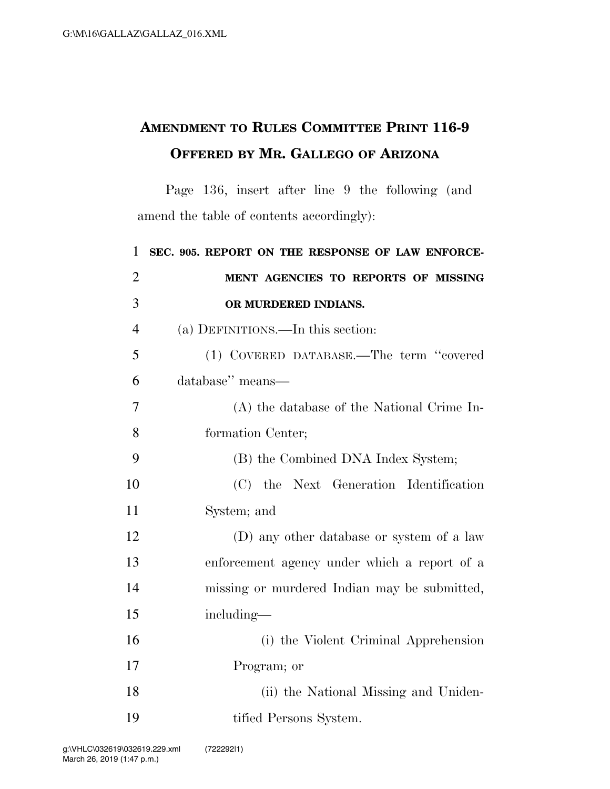## **AMENDMENT TO RULES COMMITTEE PRINT 116-9 OFFERED BY MR. GALLEGO OF ARIZONA**

Page 136, insert after line 9 the following (and amend the table of contents accordingly):

| $\mathbf{1}$   | SEC. 905. REPORT ON THE RESPONSE OF LAW ENFORCE- |
|----------------|--------------------------------------------------|
| $\overline{2}$ | MENT AGENCIES TO REPORTS OF MISSING              |
| 3              | OR MURDERED INDIANS.                             |
| $\overline{4}$ | (a) DEFINITIONS.—In this section:                |
| 5              | (1) COVERED DATABASE.—The term "covered          |
| 6              | database" means-                                 |
| 7              | (A) the database of the National Crime In-       |
| 8              | formation Center;                                |
| 9              | (B) the Combined DNA Index System;               |
| 10             | (C) the Next Generation Identification           |
| 11             | System; and                                      |
| 12             | (D) any other database or system of a law        |
| 13             | enforcement agency under which a report of a     |
| 14             | missing or murdered Indian may be submitted,     |
| 15             | including—                                       |
| 16             | (i) the Violent Criminal Apprehension            |
| 17             | Program; or                                      |
| 18             | (ii) the National Missing and Uniden-            |
| 19             | tified Persons System.                           |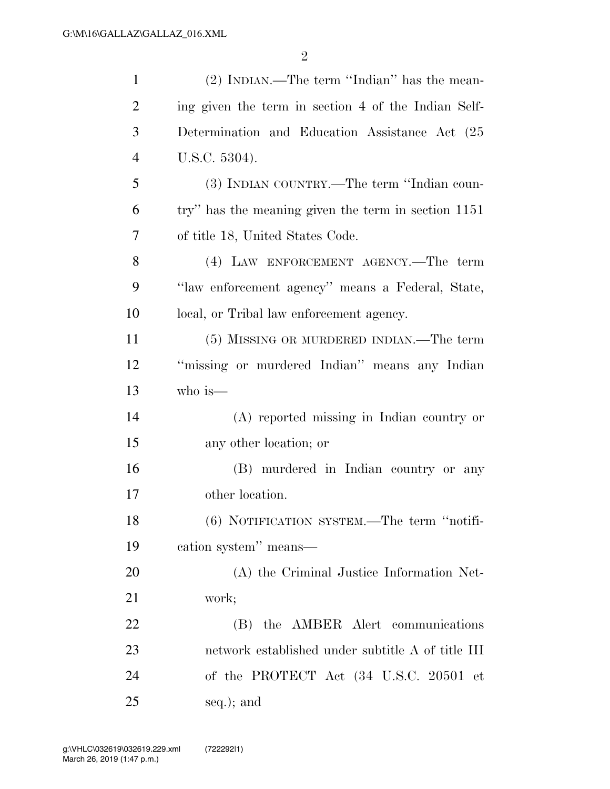| $\mathbf{1}$   | (2) INDIAN.—The term "Indian" has the mean-         |
|----------------|-----------------------------------------------------|
| $\overline{2}$ | ing given the term in section 4 of the Indian Self- |
| 3              | Determination and Education Assistance Act (25      |
| $\overline{4}$ | U.S.C. 5304).                                       |
| 5              | (3) INDIAN COUNTRY.—The term "Indian coun-          |
| 6              | try" has the meaning given the term in section 1151 |
| 7              | of title 18, United States Code.                    |
| 8              | (4) LAW ENFORCEMENT AGENCY.—The term                |
| 9              | "law enforcement agency" means a Federal, State,    |
| 10             | local, or Tribal law enforcement agency.            |
| 11             | (5) MISSING OR MURDERED INDIAN.—The term            |
| 12             | "missing or murdered Indian" means any Indian       |
| 13             | who is—                                             |
| 14             | (A) reported missing in Indian country or           |
| 15             | any other location; or                              |
| 16             | (B) murdered in Indian country or any               |
| 17             | other location.                                     |
| 18             | $(6)$ NOTIFICATION SYSTEM.—The term "notifi-        |
| 19             | cation system" means—                               |
| 20             | (A) the Criminal Justice Information Net-           |
| 21             | work;                                               |
| 22             | (B) the AMBER Alert communications                  |
| 23             | network established under subtitle A of title III   |
| 24             | of the PROTECT Act (34 U.S.C. 20501 et              |
| 25             | seq.); and                                          |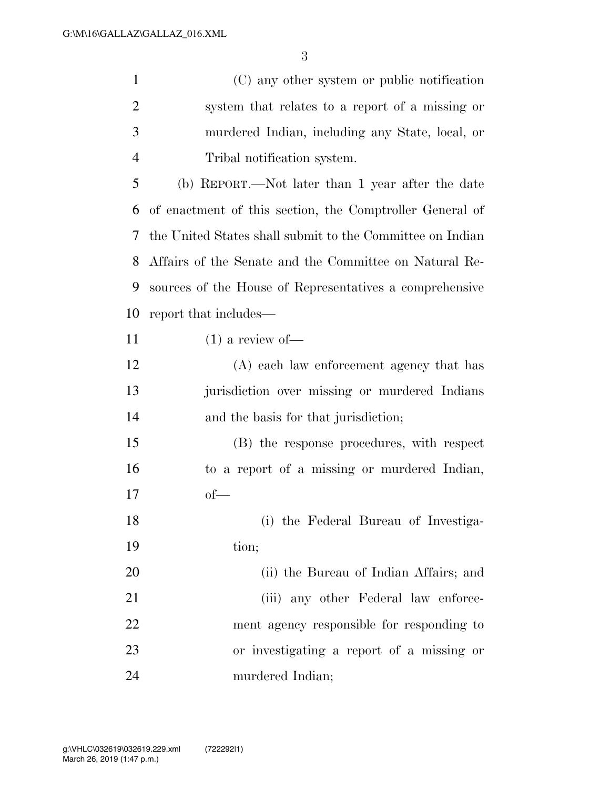(C) any other system or public notification

 system that relates to a report of a missing or murdered Indian, including any State, local, or Tribal notification system. (b) REPORT.—Not later than 1 year after the date of enactment of this section, the Comptroller General of the United States shall submit to the Committee on Indian Affairs of the Senate and the Committee on Natural Re- sources of the House of Representatives a comprehensive report that includes— (1) a review of — (A) each law enforcement agency that has jurisdiction over missing or murdered Indians and the basis for that jurisdiction; (B) the response procedures, with respect to a report of a missing or murdered Indian, of— (i) the Federal Bureau of Investiga-19 tion; (ii) the Bureau of Indian Affairs; and 21 (iii) any other Federal law enforce-ment agency responsible for responding to

 or investigating a report of a missing or murdered Indian;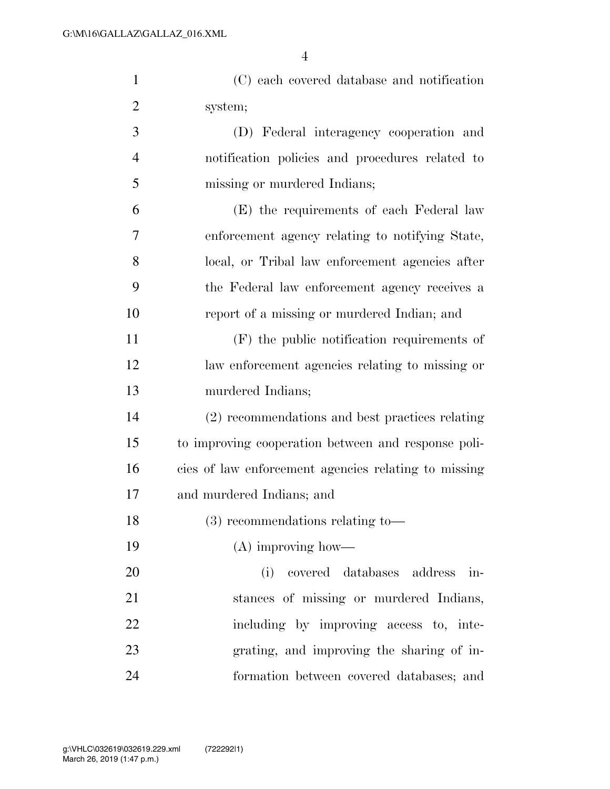| $\mathbf{1}$   | (C) each covered database and notification           |
|----------------|------------------------------------------------------|
| $\overline{2}$ | system;                                              |
| 3              | (D) Federal interagency cooperation and              |
| 4              | notification policies and procedures related to      |
| 5              | missing or murdered Indians;                         |
| 6              | (E) the requirements of each Federal law             |
| 7              | enforcement agency relating to notifying State,      |
| 8              | local, or Tribal law enforcement agencies after      |
| 9              | the Federal law enforcement agency receives a        |
| 10             | report of a missing or murdered Indian; and          |
| 11             | $(F)$ the public notification requirements of        |
| 12             | law enforcement agencies relating to missing or      |
| 13             | murdered Indians;                                    |
| 14             | (2) recommendations and best practices relating      |
| 15             | to improving cooperation between and response poli-  |
| 16             | cies of law enforcement agencies relating to missing |
| 17             | and murdered Indians; and                            |
| 18             | $(3)$ recommendations relating to-                   |
| 19             | (A) improving how—                                   |
| 20             | covered databases address<br>(i)<br>in-              |
| 21             | stances of missing or murdered Indians,              |
| 22             | including by improving access to, inte-              |
| 23             | grating, and improving the sharing of in-            |
| 24             | formation between covered databases; and             |